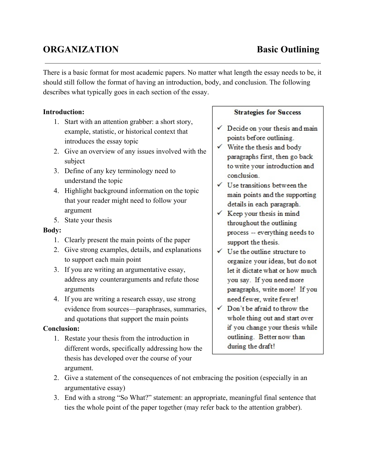# **ORGANIZATION Basic Outlining**

There is a basic format for most academic papers. No matter what length the essay needs to be, it should still follow the format of having an introduction, body, and conclusion. The following describes what typically goes in each section of the essay.

## **Introduction:**

- 1. Start with an attention grabber: a short story, example, statistic, or historical context that introduces the essay topic
- 2. Give an overview of any issues involved with the subject
- 3. Define of any key terminology need to understand the topic
- 4. Highlight background information on the topic that your reader might need to follow your argument
- 5. State your thesis

### **Body:**

- 1. Clearly present the main points of the paper
- 2. Give strong examples, details, and explanations to support each main point
- 3. If you are writing an argumentative essay, address any counterarguments and refute those arguments
- 4. If you are writing a research essay, use strong evidence from sources—paraphrases, summaries, and quotations that support the main points

# **Conclusion:**

1. Restate your thesis from the introduction in different words, specifically addressing how the thesis has developed over the course of your argument.

#### **Strategies for Success**

- $\checkmark$  Decide on your thesis and main points before outlining.
- $\checkmark$  Write the thesis and body paragraphs first, then go back to write your introduction and conclusion
- $\checkmark$  Use transitions between the main points and the supporting details in each paragraph.
- $\checkmark$  Keep your thesis in mind throughout the outlining process -- everything needs to support the thesis.
- $\checkmark$  Use the outline structure to organize your ideas, but do not let it dictate what or how much you say. If you need more paragraphs, write more! If you need fewer, write fewer!
- √ Don't be afraid to throw the whole thing out and start over if you change your thesis while outlining. Better now than during the draft!
- 2. Give a statement of the consequences of not embracing the position (especially in an argumentative essay)
- 3. End with a strong "So What?" statement: an appropriate, meaningful final sentence that ties the whole point of the paper together (may refer back to the attention grabber).